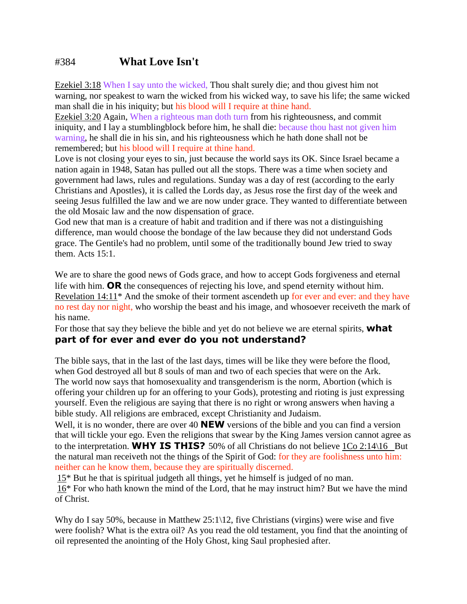## #384 **What Love Isn't**

Ezekiel 3:18 When I say unto the wicked, Thou shalt surely die; and thou givest him not warning, nor speakest to warn the wicked from his wicked way, to save his life; the same wicked man shall die in his iniquity; but his blood will I require at thine hand.

Ezekiel 3:20 Again, When a righteous man doth turn from his righteousness, and commit iniquity, and I lay a stumblingblock before him, he shall die: because thou hast not given him warning, he shall die in his sin, and his righteousness which he hath done shall not be remembered; but his blood will I require at thine hand.

Love is not closing your eyes to sin, just because the world says its OK. Since Israel became a nation again in 1948, Satan has pulled out all the stops. There was a time when society and government had laws, rules and regulations. Sunday was a day of rest (according to the early Christians and Apostles), it is called the Lords day, as Jesus rose the first day of the week and seeing Jesus fulfilled the law and we are now under grace. They wanted to differentiate between the old Mosaic law and the now dispensation of grace.

God new that man is a creature of habit and tradition and if there was not a distinguishing difference, man would choose the bondage of the law because they did not understand Gods grace. The Gentile's had no problem, until some of the traditionally bound Jew tried to sway them. Acts 15:1.

We are to share the good news of Gods grace, and how to accept Gods forgiveness and eternal life with him. **OR** the consequences of rejecting his love, and spend eternity without him. Revelation 14:11\* And the smoke of their torment ascendeth up for ever and ever: and they have no rest day nor night, who worship the beast and his image, and whosoever receiveth the mark of his name.

For those that say they believe the bible and yet do not believe we are eternal spirits, **what part of for ever and ever do you not understand?**

The bible says, that in the last of the last days, times will be like they were before the flood, when God destroyed all but 8 souls of man and two of each species that were on the Ark. The world now says that homosexuality and transgenderism is the norm, Abortion (which is offering your children up for an offering to your Gods), protesting and rioting is just expressing yourself. Even the religious are saying that there is no right or wrong answers when having a bible study. All religions are embraced, except Christianity and Judaism.

Well, it is no wonder, there are over 40 **NEW** versions of the bible and you can find a version that will tickle your ego. Even the religions that swear by the King James version cannot agree as to the interpretation. **WHY IS THIS?** 50% of all Christians do not believe 1Co 2:14\16 But the natural man receiveth not the things of the Spirit of God: for they are foolishness unto him: neither can he know them, because they are spiritually discerned.

 $15*$  But he that is spiritual judgeth all things, yet he himself is judged of no man.

16\* For who hath known the mind of the Lord, that he may instruct him? But we have the mind of Christ.

Why do I say 50%, because in Matthew 25:1\12, five Christians (virgins) were wise and five were foolish? What is the extra oil? As you read the old testament, you find that the anointing of oil represented the anointing of the Holy Ghost, king Saul prophesied after.